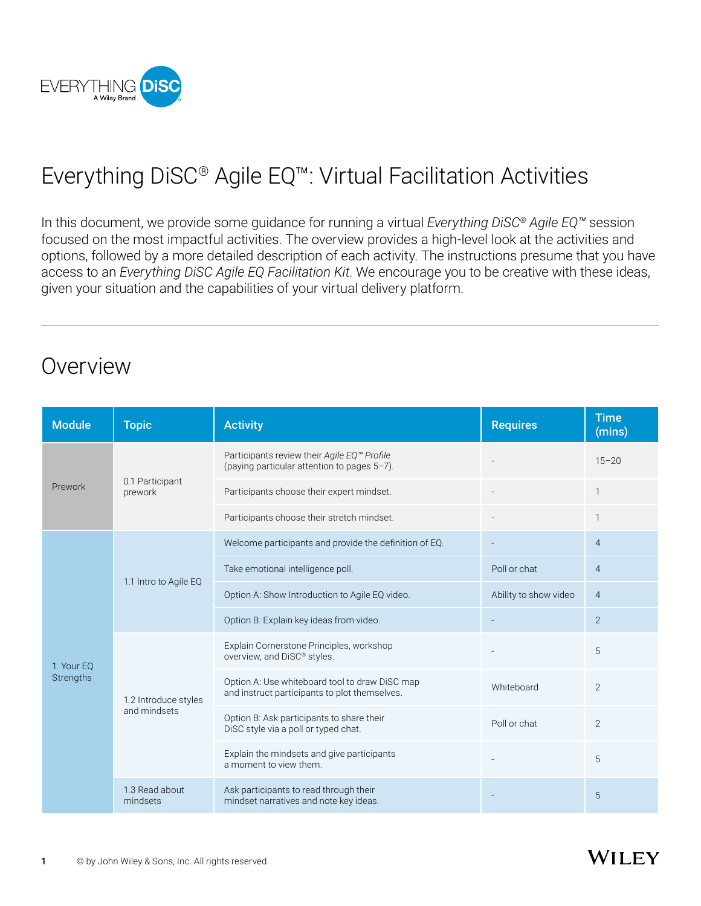

# Everything DiSC® Agile EQ™: Virtual Facilitation Activities

In this document, we provide some guidance for running a virtual *Everything DiSC® Agile EQ™* session focused on the most impactful activities. The overview provides a high-level look at the activities and options, followed by a more detailed description of each activity. The instructions presume that you have access to an *Everything DiSC Agile EQ Facilitation Kit*. We encourage you to be creative with these ideas, given your situation and the capabilities of your virtual delivery platform.

## Overview

| <b>Module</b>           | <b>Topic</b>                         | <b>Activity</b>                                                                                 | <b>Requires</b>       | <b>Time</b><br>(mins) |
|-------------------------|--------------------------------------|-------------------------------------------------------------------------------------------------|-----------------------|-----------------------|
| Prework                 | 0.1 Participant<br>prework           | Participants review their Agile EQ™ Profile<br>(paying particular attention to pages 5-7).      |                       | $15 - 20$             |
|                         |                                      | Participants choose their expert mindset.                                                       |                       |                       |
|                         |                                      | Participants choose their stretch mindset.                                                      |                       |                       |
| 1. Your EQ<br>Strengths | 1.1 Intro to Agile EQ                | Welcome participants and provide the definition of EQ.                                          |                       | $\overline{4}$        |
|                         |                                      | Take emotional intelligence poll.                                                               | Poll or chat          | $\overline{4}$        |
|                         |                                      | Option A: Show Introduction to Agile EQ video.                                                  | Ability to show video | $\overline{4}$        |
|                         |                                      | Option B: Explain key ideas from video.                                                         |                       | 2                     |
|                         | 1.2 Introduce styles<br>and mindsets | Explain Cornerstone Principles, workshop<br>overview, and DiSC® styles.                         |                       | 5                     |
|                         |                                      | Option A: Use whiteboard tool to draw DiSC map<br>and instruct participants to plot themselves. | Whiteboard            | 2                     |
|                         |                                      | Option B: Ask participants to share their<br>DiSC style via a poll or typed chat.               | Poll or chat          | 2                     |
|                         |                                      | Explain the mindsets and give participants<br>a moment to view them.                            |                       | 5                     |
|                         | 1.3 Read about<br>mindsets           | Ask participants to read through their<br>mindset narratives and note key ideas.                |                       | 5                     |

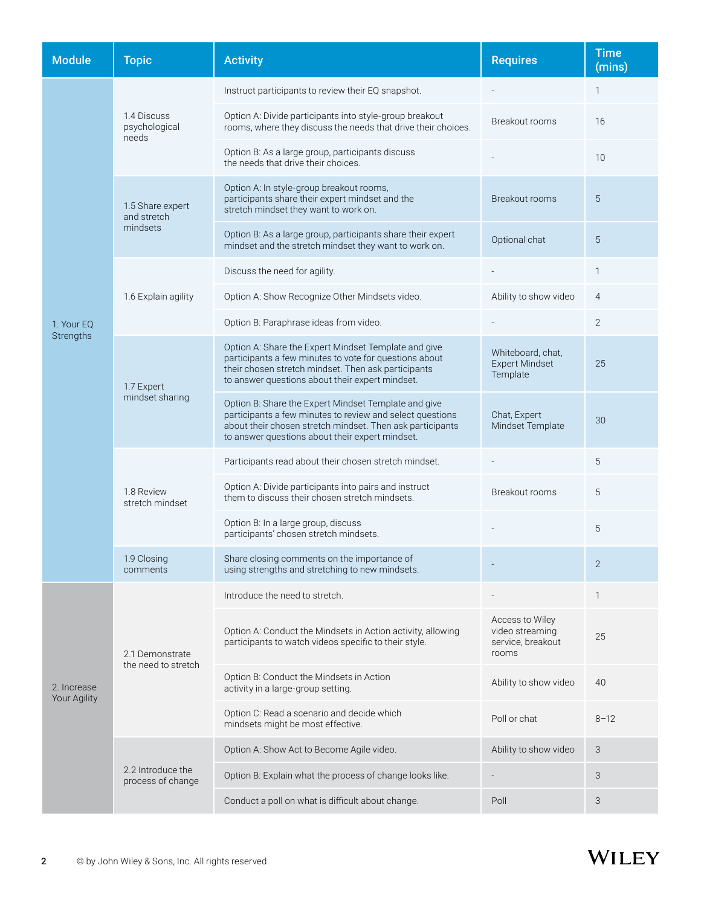| <b>Module</b>               | <b>Topic</b>                                | <b>Activity</b>                                                                                                                                                                                                                   | <b>Requires</b>                                                  | <b>Time</b><br>(mins) |
|-----------------------------|---------------------------------------------|-----------------------------------------------------------------------------------------------------------------------------------------------------------------------------------------------------------------------------------|------------------------------------------------------------------|-----------------------|
|                             | 1.4 Discuss<br>psychological<br>needs       | Instruct participants to review their EQ snapshot.                                                                                                                                                                                |                                                                  | 1                     |
|                             |                                             | Option A: Divide participants into style-group breakout<br>rooms, where they discuss the needs that drive their choices.                                                                                                          | Breakout rooms                                                   | 16                    |
|                             |                                             | Option B: As a large group, participants discuss<br>the needs that drive their choices.                                                                                                                                           |                                                                  | 10                    |
|                             | 1.5 Share expert<br>and stretch<br>mindsets | Option A: In style-group breakout rooms,<br>participants share their expert mindset and the<br>stretch mindset they want to work on.                                                                                              | Breakout rooms                                                   | 5                     |
|                             |                                             | Option B: As a large group, participants share their expert<br>mindset and the stretch mindset they want to work on.                                                                                                              | Optional chat                                                    | 5                     |
|                             | 1.6 Explain agility                         | Discuss the need for agility.                                                                                                                                                                                                     |                                                                  | 1                     |
|                             |                                             | Option A: Show Recognize Other Mindsets video.                                                                                                                                                                                    | Ability to show video                                            | $\overline{4}$        |
| 1. Your EQ                  |                                             | Option B: Paraphrase ideas from video.                                                                                                                                                                                            |                                                                  | $\mathbf{2}$          |
| Strengths                   | 1.7 Expert<br>mindset sharing               | Option A: Share the Expert Mindset Template and give<br>participants a few minutes to vote for questions about<br>their chosen stretch mindset. Then ask participants<br>to answer questions about their expert mindset.          | Whiteboard, chat,<br><b>Expert Mindset</b><br>Template           | 25                    |
|                             |                                             | Option B: Share the Expert Mindset Template and give<br>participants a few minutes to review and select questions<br>about their chosen stretch mindset. Then ask participants<br>to answer questions about their expert mindset. | Chat, Expert<br>Mindset Template                                 | 30                    |
|                             |                                             | Participants read about their chosen stretch mindset.                                                                                                                                                                             |                                                                  | 5                     |
|                             | 1.8 Review<br>stretch mindset               | Option A: Divide participants into pairs and instruct<br>them to discuss their chosen stretch mindsets.                                                                                                                           | Breakout rooms                                                   | 5                     |
|                             |                                             | Option B: In a large group, discuss<br>participants' chosen stretch mindsets.                                                                                                                                                     |                                                                  | 5                     |
|                             | 1.9 Closing<br>comments                     | Share closing comments on the importance of<br>using strengths and stretching to new mindsets.                                                                                                                                    |                                                                  | $\overline{2}$        |
|                             | 2.1 Demonstrate<br>the need to stretch      | Introduce the need to stretch.                                                                                                                                                                                                    |                                                                  | 1                     |
| 2. Increase<br>Your Agility |                                             | Option A: Conduct the Mindsets in Action activity, allowing<br>participants to watch videos specific to their style.                                                                                                              | Access to Wiley<br>video streaming<br>service, breakout<br>rooms | 25                    |
|                             |                                             | Option B: Conduct the Mindsets in Action<br>activity in a large-group setting.                                                                                                                                                    | Ability to show video                                            | 40                    |
|                             |                                             | Option C: Read a scenario and decide which<br>mindsets might be most effective.                                                                                                                                                   | Poll or chat                                                     | $8 - 12$              |
|                             | 2.2 Introduce the<br>process of change      | Option A: Show Act to Become Agile video.                                                                                                                                                                                         | Ability to show video                                            | 3                     |
|                             |                                             | Option B: Explain what the process of change looks like.                                                                                                                                                                          |                                                                  | 3                     |
|                             |                                             | Conduct a poll on what is difficult about change.                                                                                                                                                                                 | Poll                                                             | 3                     |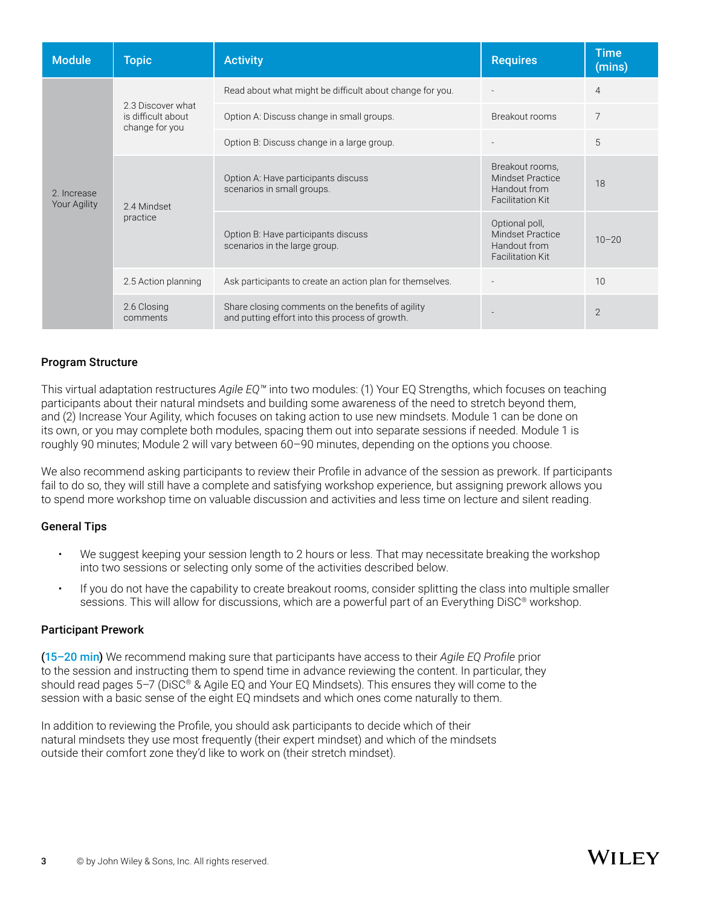| <b>Module</b>                      | <b>Topic</b>                                              | <b>Activity</b>                                                                                      | <b>Requires</b>                                                                       | <b>Time</b><br>(mins) |
|------------------------------------|-----------------------------------------------------------|------------------------------------------------------------------------------------------------------|---------------------------------------------------------------------------------------|-----------------------|
| 2. Increase<br><b>Your Agility</b> | 2.3 Discover what<br>is difficult about<br>change for you | Read about what might be difficult about change for you.                                             |                                                                                       | $\overline{4}$        |
|                                    |                                                           | Option A: Discuss change in small groups.                                                            | Breakout rooms                                                                        | 7                     |
|                                    |                                                           | Option B: Discuss change in a large group.                                                           |                                                                                       | 5                     |
|                                    | 2.4 Mindset<br>practice                                   | Option A: Have participants discuss<br>scenarios in small groups.                                    | Breakout rooms,<br><b>Mindset Practice</b><br>Handout from<br><b>Facilitation Kit</b> | 18                    |
|                                    |                                                           | Option B: Have participants discuss<br>scenarios in the large group.                                 | Optional poll,<br><b>Mindset Practice</b><br>Handout from<br><b>Facilitation Kit</b>  | $10 - 20$             |
|                                    | 2.5 Action planning                                       | Ask participants to create an action plan for themselves.                                            |                                                                                       | 10                    |
|                                    | 2.6 Closing<br>comments                                   | Share closing comments on the benefits of agility<br>and putting effort into this process of growth. |                                                                                       | $\overline{2}$        |

#### Program Structure

This virtual adaptation restructures *Agile EQ™* into two modules: (1) Your EQ Strengths, which focuses on teaching participants about their natural mindsets and building some awareness of the need to stretch beyond them, and (2) Increase Your Agility, which focuses on taking action to use new mindsets. Module 1 can be done on its own, or you may complete both modules, spacing them out into separate sessions if needed. Module 1 is roughly 90 minutes; Module 2 will vary between 60–90 minutes, depending on the options you choose.

We also recommend asking participants to review their Profile in advance of the session as prework. If participants fail to do so, they will still have a complete and satisfying workshop experience, but assigning prework allows you to spend more workshop time on valuable discussion and activities and less time on lecture and silent reading.

#### General Tips

- We suggest keeping your session length to 2 hours or less. That may necessitate breaking the workshop into two sessions or selecting only some of the activities described below.
- If you do not have the capability to create breakout rooms, consider splitting the class into multiple smaller sessions. This will allow for discussions, which are a powerful part of an Everything DiSC<sup>®</sup> workshop.

#### Participant Prework

(15–20 min) We recommend making sure that participants have access to their *Agile EQ Profile* prior to the session and instructing them to spend time in advance reviewing the content. In particular, they should read pages 5–7 (DiSC® & Agile EQ and Your EQ Mindsets). This ensures they will come to the session with a basic sense of the eight EQ mindsets and which ones come naturally to them.

In addition to reviewing the Profile, you should ask participants to decide which of their natural mindsets they use most frequently (their expert mindset) and which of the mindsets outside their comfort zone they'd like to work on (their stretch mindset).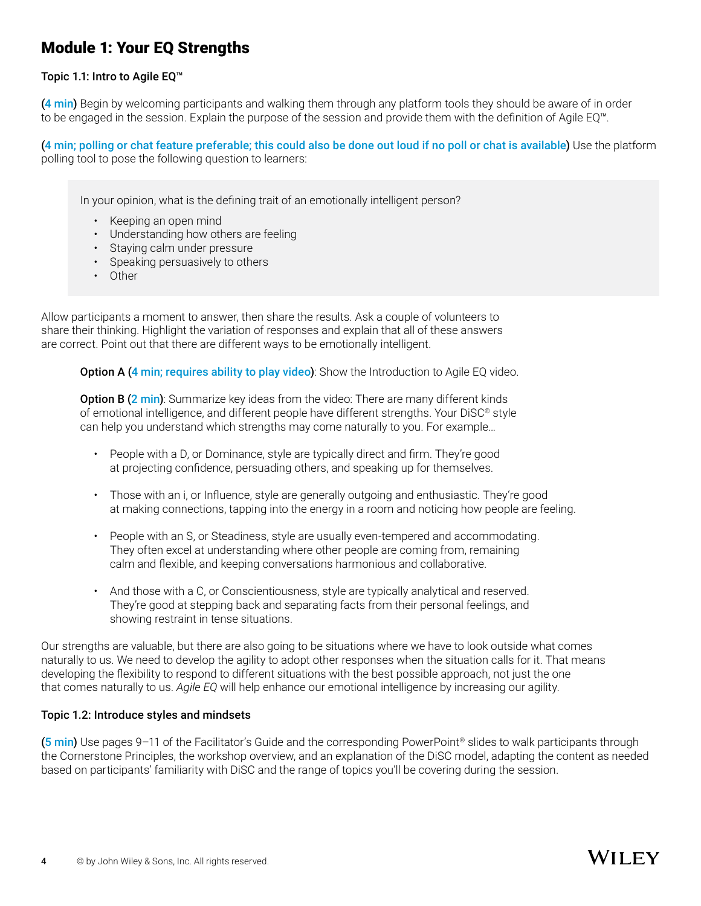## Module 1: Your EQ Strengths

#### Topic 1.1: Intro to Agile EQ™

(4 min) Begin by welcoming participants and walking them through any platform tools they should be aware of in order to be engaged in the session. Explain the purpose of the session and provide them with the definition of Agile EQ™.

(4 min; polling or chat feature preferable; this could also be done out loud if no poll or chat is available) Use the platform polling tool to pose the following question to learners:

In your opinion, what is the defining trait of an emotionally intelligent person?

- Keeping an open mind
- Understanding how others are feeling
- Staying calm under pressure
- Speaking persuasively to others
- Other

Allow participants a moment to answer, then share the results. Ask a couple of volunteers to share their thinking. Highlight the variation of responses and explain that all of these answers are correct. Point out that there are different ways to be emotionally intelligent.

Option A (4 min; requires ability to play video): Show the Introduction to Agile EQ video.

**Option B (2 min)**: Summarize key ideas from the video: There are many different kinds of emotional intelligence, and different people have different strengths. Your DiSC® style can help you understand which strengths may come naturally to you. For example…

- People with a D, or Dominance, style are typically direct and firm. They're good at projecting confidence, persuading others, and speaking up for themselves.
- Those with an i, or Influence, style are generally outgoing and enthusiastic. They're good at making connections, tapping into the energy in a room and noticing how people are feeling.
- People with an S, or Steadiness, style are usually even-tempered and accommodating. They often excel at understanding where other people are coming from, remaining calm and flexible, and keeping conversations harmonious and collaborative.
- And those with a C, or Conscientiousness, style are typically analytical and reserved. They're good at stepping back and separating facts from their personal feelings, and showing restraint in tense situations.

Our strengths are valuable, but there are also going to be situations where we have to look outside what comes naturally to us. We need to develop the agility to adopt other responses when the situation calls for it. That means developing the flexibility to respond to different situations with the best possible approach, not just the one that comes naturally to us. *Agile EQ* will help enhance our emotional intelligence by increasing our agility.

#### Topic 1.2: Introduce styles and mindsets

(5 min) Use pages 9–11 of the Facilitator's Guide and the corresponding PowerPoint® slides to walk participants through the Cornerstone Principles, the workshop overview, and an explanation of the DiSC model, adapting the content as needed based on participants' familiarity with DiSC and the range of topics you'll be covering during the session.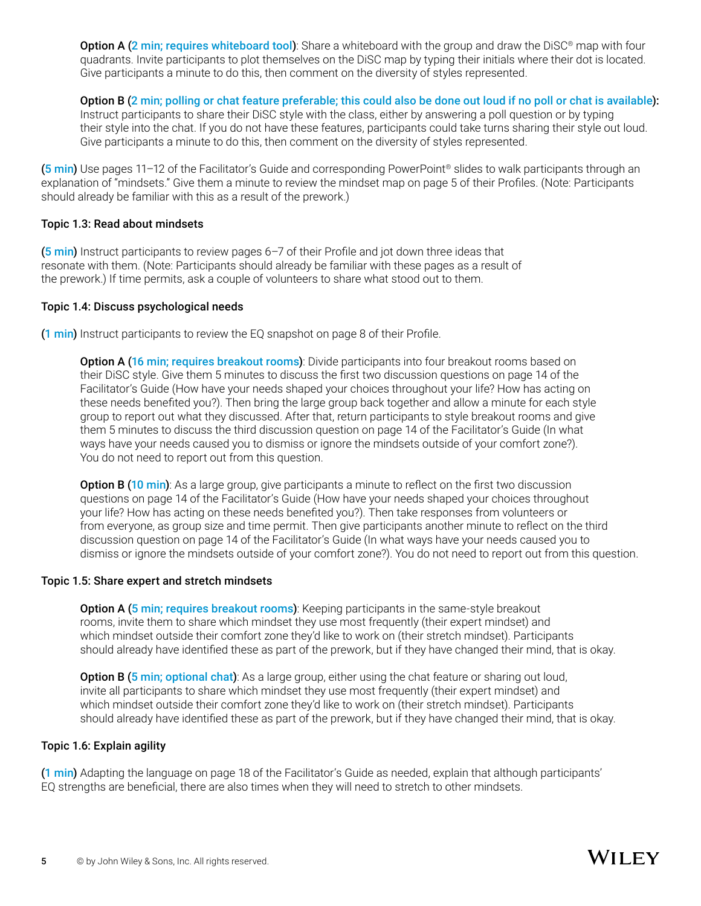Option A (2 min; requires whiteboard tool): Share a whiteboard with the group and draw the DiSC® map with four quadrants. Invite participants to plot themselves on the DiSC map by typing their initials where their dot is located. Give participants a minute to do this, then comment on the diversity of styles represented.

#### Option B (2 min; polling or chat feature preferable; this could also be done out loud if no poll or chat is available):

 Instruct participants to share their DiSC style with the class, either by answering a poll question or by typing their style into the chat. If you do not have these features, participants could take turns sharing their style out loud. Give participants a minute to do this, then comment on the diversity of styles represented.

(5 min) Use pages 11–12 of the Facilitator's Guide and corresponding PowerPoint<sup>®</sup> slides to walk participants through an explanation of "mindsets." Give them a minute to review the mindset map on page 5 of their Profiles. (Note: Participants should already be familiar with this as a result of the prework.)

#### Topic 1.3: Read about mindsets

(5 min) Instruct participants to review pages 6–7 of their Profile and jot down three ideas that resonate with them. (Note: Participants should already be familiar with these pages as a result of the prework.) If time permits, ask a couple of volunteers to share what stood out to them.

#### Topic 1.4: Discuss psychological needs

(1 min) Instruct participants to review the EQ snapshot on page 8 of their Profile.

**Option A (16 min; requires breakout rooms)**: Divide participants into four breakout rooms based on their DiSC style. Give them 5 minutes to discuss the first two discussion questions on page 14 of the Facilitator's Guide (How have your needs shaped your choices throughout your life? How has acting on these needs benefited you?). Then bring the large group back together and allow a minute for each style group to report out what they discussed. After that, return participants to style breakout rooms and give them 5 minutes to discuss the third discussion question on page 14 of the Facilitator's Guide (In what ways have your needs caused you to dismiss or ignore the mindsets outside of your comfort zone?). You do not need to report out from this question.

**Option B (10 min)**: As a large group, give participants a minute to reflect on the first two discussion questions on page 14 of the Facilitator's Guide (How have your needs shaped your choices throughout your life? How has acting on these needs benefited you?). Then take responses from volunteers or from everyone, as group size and time permit. Then give participants another minute to reflect on the third discussion question on page 14 of the Facilitator's Guide (In what ways have your needs caused you to dismiss or ignore the mindsets outside of your comfort zone?). You do not need to report out from this question.

#### Topic 1.5: Share expert and stretch mindsets

Option A (5 min; requires breakout rooms): Keeping participants in the same-style breakout rooms, invite them to share which mindset they use most frequently (their expert mindset) and which mindset outside their comfort zone they'd like to work on (their stretch mindset). Participants should already have identified these as part of the prework, but if they have changed their mind, that is okay.

**Option B (5 min; optional chat)**: As a large group, either using the chat feature or sharing out loud, invite all participants to share which mindset they use most frequently (their expert mindset) and which mindset outside their comfort zone they'd like to work on (their stretch mindset). Participants should already have identified these as part of the prework, but if they have changed their mind, that is okay.

#### Topic 1.6: Explain agility

(1 min) Adapting the language on page 18 of the Facilitator's Guide as needed, explain that although participants' EQ strengths are beneficial, there are also times when they will need to stretch to other mindsets.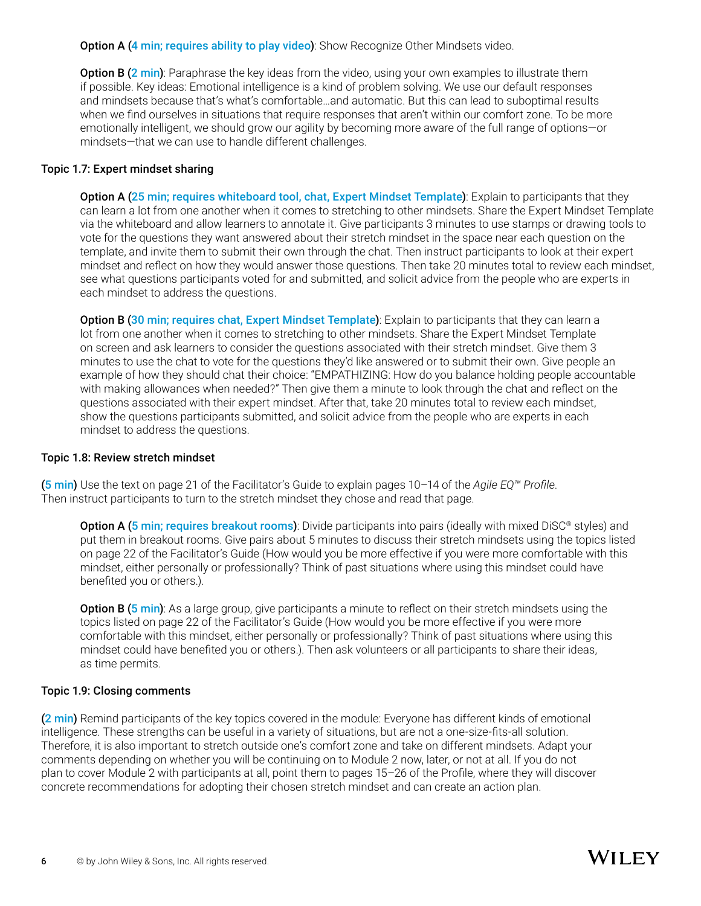**Option A (4 min; requires ability to play video)**: Show Recognize Other Mindsets video.

Option B (2 min): Paraphrase the key ideas from the video, using your own examples to illustrate them if possible. Key ideas: Emotional intelligence is a kind of problem solving. We use our default responses and mindsets because that's what's comfortable…and automatic. But this can lead to suboptimal results when we find ourselves in situations that require responses that aren't within our comfort zone. To be more emotionally intelligent, we should grow our agility by becoming more aware of the full range of options—or mindsets—that we can use to handle different challenges.

#### Topic 1.7: Expert mindset sharing

 Option A (25 min; requires whiteboard tool, chat, Expert Mindset Template): Explain to participants that they can learn a lot from one another when it comes to stretching to other mindsets. Share the Expert Mindset Template via the whiteboard and allow learners to annotate it. Give participants 3 minutes to use stamps or drawing tools to vote for the questions they want answered about their stretch mindset in the space near each question on the template, and invite them to submit their own through the chat. Then instruct participants to look at their expert mindset and reflect on how they would answer those questions. Then take 20 minutes total to review each mindset, see what questions participants voted for and submitted, and solicit advice from the people who are experts in each mindset to address the questions.

Option B (30 min; requires chat, Expert Mindset Template): Explain to participants that they can learn a lot from one another when it comes to stretching to other mindsets. Share the Expert Mindset Template on screen and ask learners to consider the questions associated with their stretch mindset. Give them 3 minutes to use the chat to vote for the questions they'd like answered or to submit their own. Give people an example of how they should chat their choice: "EMPATHIZING: How do you balance holding people accountable with making allowances when needed?" Then give them a minute to look through the chat and reflect on the questions associated with their expert mindset. After that, take 20 minutes total to review each mindset, show the questions participants submitted, and solicit advice from the people who are experts in each mindset to address the questions.

#### Topic 1.8: Review stretch mindset

(5 min) Use the text on page 21 of the Facilitator's Guide to explain pages 10–14 of the *Agile EQ™ Profile*. Then instruct participants to turn to the stretch mindset they chose and read that page.

Option A (5 min; requires breakout rooms): Divide participants into pairs (ideally with mixed DiSC® styles) and put them in breakout rooms. Give pairs about 5 minutes to discuss their stretch mindsets using the topics listed on page 22 of the Facilitator's Guide (How would you be more effective if you were more comfortable with this mindset, either personally or professionally? Think of past situations where using this mindset could have benefited you or others.).

**Option B (5 min)**: As a large group, give participants a minute to reflect on their stretch mindsets using the topics listed on page 22 of the Facilitator's Guide (How would you be more effective if you were more comfortable with this mindset, either personally or professionally? Think of past situations where using this mindset could have benefited you or others.). Then ask volunteers or all participants to share their ideas, as time permits.

#### Topic 1.9: Closing comments

(2 min) Remind participants of the key topics covered in the module: Everyone has different kinds of emotional intelligence. These strengths can be useful in a variety of situations, but are not a one-size-fits-all solution. Therefore, it is also important to stretch outside one's comfort zone and take on different mindsets. Adapt your comments depending on whether you will be continuing on to Module 2 now, later, or not at all. If you do not plan to cover Module 2 with participants at all, point them to pages 15–26 of the Profile, where they will discover concrete recommendations for adopting their chosen stretch mindset and can create an action plan.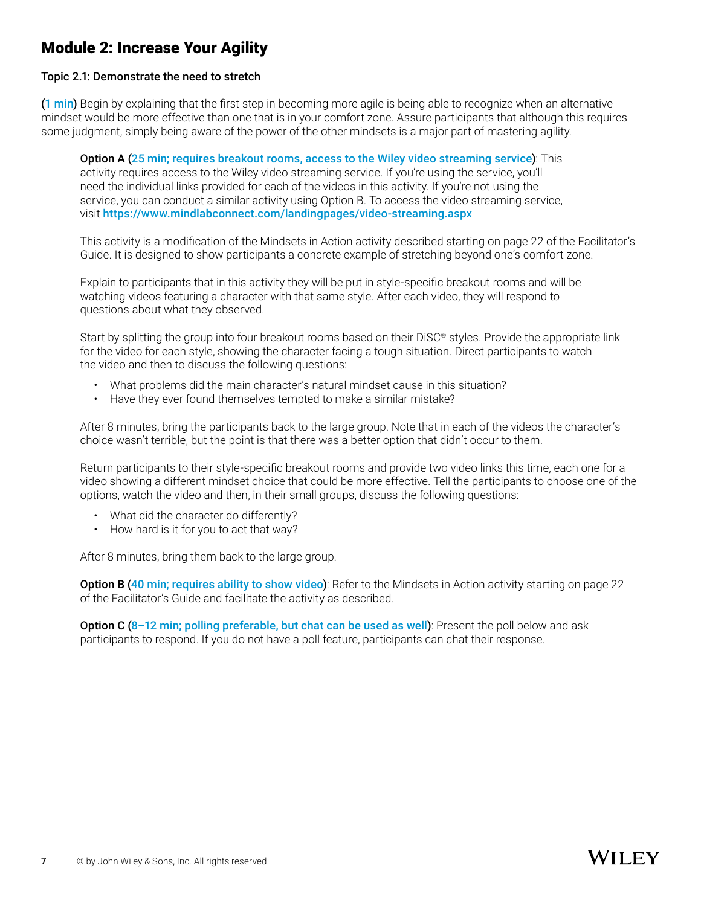## Module 2: Increase Your Agility

#### Topic 2.1: Demonstrate the need to stretch

(1 min) Begin by explaining that the first step in becoming more agile is being able to recognize when an alternative mindset would be more effective than one that is in your comfort zone. Assure participants that although this requires some judgment, simply being aware of the power of the other mindsets is a major part of mastering agility.

#### Option A (25 min; requires breakout rooms, access to the Wiley video streaming service): This

 activity requires access to the Wiley video streaming service. If you're using the service, you'll need the individual links provided for each of the videos in this activity. If you're not using the service, you can conduct a similar activity using Option B. To access the video streaming service, visit [https://www.mindlabconnect.com/landingpages/video-streaming.aspx](https://www.mindlabconnect.com/landingpages/video-streaming.aspx )

This activity is a modification of the Mindsets in Action activity described starting on page 22 of the Facilitator's Guide. It is designed to show participants a concrete example of stretching beyond one's comfort zone.

Explain to participants that in this activity they will be put in style-specific breakout rooms and will be watching videos featuring a character with that same style. After each video, they will respond to questions about what they observed.

 Start by splitting the group into four breakout rooms based on their DiSC® styles. Provide the appropriate link for the video for each style, showing the character facing a tough situation. Direct participants to watch the video and then to discuss the following questions:

- What problems did the main character's natural mindset cause in this situation?
- Have they ever found themselves tempted to make a similar mistake?

After 8 minutes, bring the participants back to the large group. Note that in each of the videos the character's choice wasn't terrible, but the point is that there was a better option that didn't occur to them.

Return participants to their style-specific breakout rooms and provide two video links this time, each one for a video showing a different mindset choice that could be more effective. Tell the participants to choose one of the options, watch the video and then, in their small groups, discuss the following questions:

- What did the character do differently?
- How hard is it for you to act that way?

After 8 minutes, bring them back to the large group.

Option B (40 min; requires ability to show video): Refer to the Mindsets in Action activity starting on page 22 of the Facilitator's Guide and facilitate the activity as described.

Option C (8-12 min; polling preferable, but chat can be used as well): Present the poll below and ask participants to respond. If you do not have a poll feature, participants can chat their response.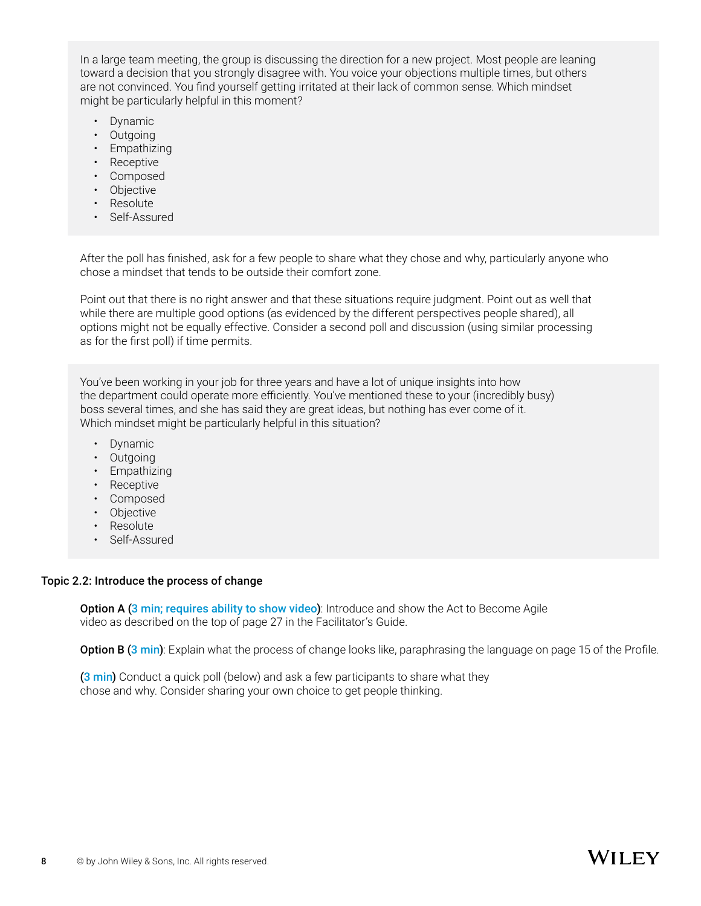In a large team meeting, the group is discussing the direction for a new project. Most people are leaning toward a decision that you strongly disagree with. You voice your objections multiple times, but others are not convinced. You find yourself getting irritated at their lack of common sense. Which mindset might be particularly helpful in this moment?

- Dynamic
- Outgoing
- Empathizing
- Receptive
- Composed
- Objective
- Resolute
- Self-Assured

After the poll has finished, ask for a few people to share what they chose and why, particularly anyone who chose a mindset that tends to be outside their comfort zone.

 Point out that there is no right answer and that these situations require judgment. Point out as well that while there are multiple good options (as evidenced by the different perspectives people shared), all options might not be equally effective. Consider a second poll and discussion (using similar processing as for the first poll) if time permits.

 You've been working in your job for three years and have a lot of unique insights into how the department could operate more efficiently. You've mentioned these to your (incredibly busy) boss several times, and she has said they are great ideas, but nothing has ever come of it. Which mindset might be particularly helpful in this situation?

- Dynamic
- Outgoing
- Empathizing
- Receptive
- Composed
- Objective
- Resolute
- Self-Assured

#### Topic 2.2: Introduce the process of change

**Option A (3 min; requires ability to show video)**: Introduce and show the Act to Become Agile video as described on the top of page 27 in the Facilitator's Guide.

**Option B (3 min)**: Explain what the process of change looks like, paraphrasing the language on page 15 of the Profile.

(3 min) Conduct a quick poll (below) and ask a few participants to share what they chose and why. Consider sharing your own choice to get people thinking.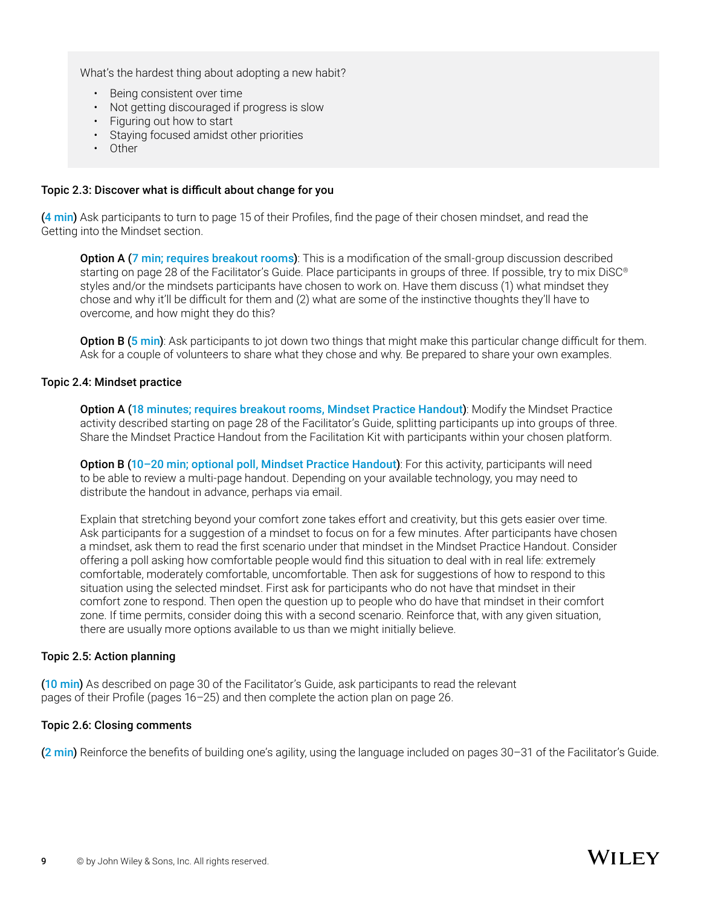What's the hardest thing about adopting a new habit?

- Being consistent over time
- Not getting discouraged if progress is slow
- Figuring out how to start
- Staying focused amidst other priorities
- Other

#### Topic 2.3: Discover what is difficult about change for you

(4 min) Ask participants to turn to page 15 of their Profiles, find the page of their chosen mindset, and read the Getting into the Mindset section.

**Option A (7 min; requires breakout rooms)**: This is a modification of the small-group discussion described starting on page 28 of the Facilitator's Guide. Place participants in groups of three. If possible, try to mix DiSC<sup>®</sup> styles and/or the mindsets participants have chosen to work on. Have them discuss (1) what mindset they chose and why it'll be difficult for them and (2) what are some of the instinctive thoughts they'll have to overcome, and how might they do this?

**Option B (5 min)**: Ask participants to jot down two things that might make this particular change difficult for them. Ask for a couple of volunteers to share what they chose and why. Be prepared to share your own examples.

#### Topic 2.4: Mindset practice

 Option A (18 minutes; requires breakout rooms, Mindset Practice Handout): Modify the Mindset Practice activity described starting on page 28 of the Facilitator's Guide, splitting participants up into groups of three. Share the Mindset Practice Handout from the Facilitation Kit with participants within your chosen platform.

Option B (10-20 min; optional poll, Mindset Practice Handout): For this activity, participants will need to be able to review a multi-page handout. Depending on your available technology, you may need to distribute the handout in advance, perhaps via email.

 Explain that stretching beyond your comfort zone takes effort and creativity, but this gets easier over time. Ask participants for a suggestion of a mindset to focus on for a few minutes. After participants have chosen a mindset, ask them to read the first scenario under that mindset in the Mindset Practice Handout. Consider offering a poll asking how comfortable people would find this situation to deal with in real life: extremely comfortable, moderately comfortable, uncomfortable. Then ask for suggestions of how to respond to this situation using the selected mindset. First ask for participants who do not have that mindset in their comfort zone to respond. Then open the question up to people who do have that mindset in their comfort zone. If time permits, consider doing this with a second scenario. Reinforce that, with any given situation, there are usually more options available to us than we might initially believe.

#### Topic 2.5: Action planning

(10 min) As described on page 30 of the Facilitator's Guide, ask participants to read the relevant pages of their Profile (pages 16–25) and then complete the action plan on page 26.

#### Topic 2.6: Closing comments

(2 min) Reinforce the benefits of building one's agility, using the language included on pages 30–31 of the Facilitator's Guide.